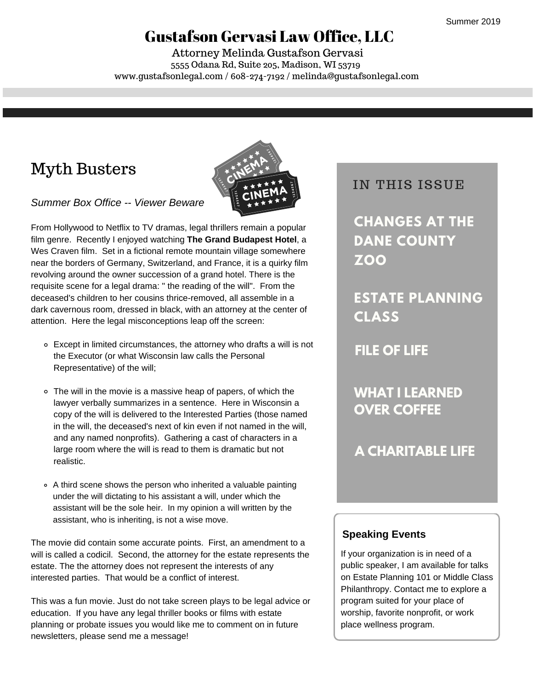## Gustafson Gervasi Law Office, LLC

5555 Odana Rd, Suite 205, Madison, WI 53719 www.gustafsonlegal.com / 608-274-7192 / melinda@gustafsonlegal.com Attorney Melinda Gustafson Gervasi

# Myth Busters



*Summer Box Office -- Viewer Beware*

From Hollywood to Netflix to TV dramas, legal thrillers remain a popular film genre. Recently I enjoyed watching **The Grand Budapest Hotel**, a Wes Craven film. Set in a fictional remote mountain village somewhere near the borders of Germany, Switzerland, and France, it is a quirky film revolving around the owner succession of a grand hotel. There is the requisite scene for a legal drama: " the reading of the will". From the deceased's children to her cousins thrice-removed, all assemble in a dark cavernous room, dressed in black, with an attorney at the center of attention. Here the legal misconceptions leap off the screen:

- Except in limited circumstances, the attorney who drafts a will is not the Executor (or what Wisconsin law calls the Personal Representative) of the will;
- The will in the movie is a massive heap of papers, of which the lawyer verbally summarizes in a sentence. Here in Wisconsin a copy of the will is delivered to the Interested Parties (those named in the will, the deceased's next of kin even if not named in the will, and any named nonprofits). Gathering a cast of characters in a large room where the will is read to them is dramatic but not realistic.
- A third scene shows the person who inherited a valuable painting under the will dictating to his assistant a will, under which the assistant will be the sole heir. In my opinion a will written by the assistant, who is inheriting, is not a wise move.

The movie did contain some accurate points. First, an amendment to a will is called a codicil. Second, the attorney for the estate represents the estate. The the attorney does not represent the interests of any interested parties. That would be a conflict of interest.

This was a fun movie. Just do not take screen plays to be legal advice or education. If you have any legal thriller books or films with estate planning or probate issues you would like me to comment on in future newsletters, please send me a message!

## IN THIS ISSUE

**CHANGES AT THE DANE COUNTY ZOO**

**ESTATE PLANNING CLASS**

**FILE OF LIFE**

**WHAT I LEARNED OVER COFFEE**

**A CHARITABLE LIFE**

#### **Speaking Events**

If your organization is in need of a public speaker, I am available for talks on Estate Planning 101 or Middle Class Philanthropy. Contact me to explore a program suited for your place of worship, favorite nonprofit, or work place wellness program.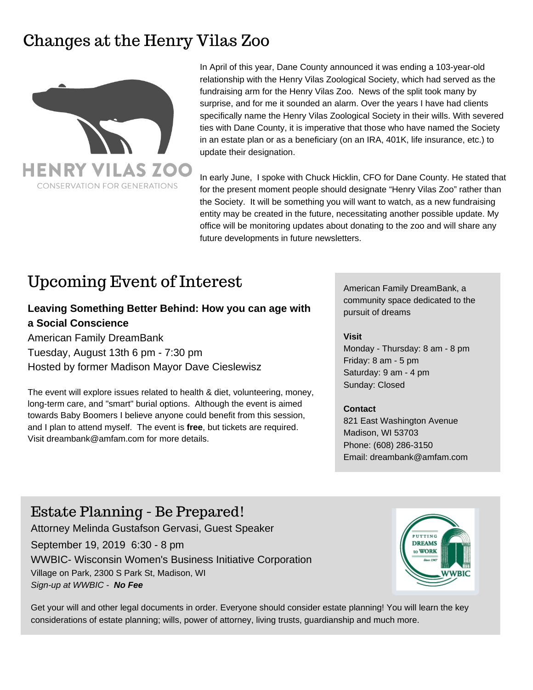## Changes at the Henry Vilas Zoo



In April of this year, Dane County announced it was ending a 103-year-old relationship with the Henry Vilas Zoological Society, which had served as the fundraising arm for the Henry Vilas Zoo. News of the split took many by surprise, and for me it sounded an alarm. Over the years I have had clients specifically name the Henry Vilas Zoological Society in their wills. With severed ties with Dane County, it is imperative that those who have named the Society in an estate plan or as a beneficiary (on an IRA, 401K, life insurance, etc.) to update their designation.

In early June, I spoke with Chuck Hicklin, CFO for Dane County. He stated that for the present moment people should designate "Henry Vilas Zoo" rather than the Society. It will be something you will want to watch, as a new fundraising entity may be created in the future, necessitating another possible update. My office will be monitoring updates about donating to the zoo and will share any future developments in future newsletters.

## Upcoming Event of Interest

### **Leaving Something Better Behind: How you can age with a Social Conscience**

American Family DreamBank Tuesday, August 13th 6 pm - 7:30 pm Hosted by former Madison Mayor Dave Cieslewisz

The event will explore issues related to health & diet, volunteering, money, long-term care, and "smart" burial options. Although the event is aimed towards Baby Boomers I believe anyone could benefit from this session, and I plan to attend myself. The event is **free**, but tickets are required. Visit dreambank@amfam.com for more details.

American Family DreamBank, a community space dedicated to the pursuit of dreams

#### **Visit**

Monday - Thursday: 8 am - 8 pm Friday: 8 am - 5 pm Saturday: 9 am - 4 pm Sunday: Closed

#### **Contact**

821 East Washington Avenue Madison, WI 53703 Phone: (608) 286-3150 Email: dreambank@amfam.com

## Estate Planning - Be Prepared!

Attorney Melinda Gustafson Gervasi, Guest Speaker

September 19, 2019 6:30 - 8 pm

WWBIC- Wisconsin Women's Business Initiative Corporation Village on Park, 2300 S Park St, Madison, WI *Sign-up at WWBIC - No Fee*



Get your will and other legal documents in order. Everyone should consider estate planning! You will learn the key considerations of estate planning; wills, power of attorney, living trusts, guardianship and much more.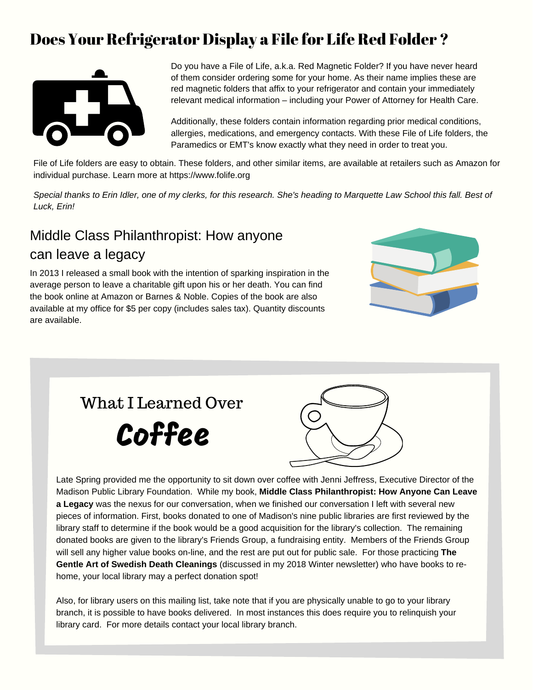## Does Your Refrigerator Display a File for Life Red Folder ?



Do you have a File of Life, a.k.a. Red Magnetic Folder? If you have never heard of them consider ordering some for your home. As their name implies these are red magnetic folders that affix to your refrigerator and contain your immediately relevant medical information – including your Power of Attorney for Health Care.

Additionally, these folders contain information regarding prior medical conditions, allergies, medications, and emergency contacts. With these File of Life folders, the Paramedics or EMT's know exactly what they need in order to treat you.

File of Life folders are easy to obtain. These folders, and other similar items, are available at retailers such as Amazon for individual purchase. Learn more at https://www.folife.org

Special thanks to Erin Idler, one of my clerks, for this research. She's heading to Marquette Law School this fall. Best of *Luck, Erin!*

## Middle Class Philanthropist: How anyone can leave a legacy

In 2013 I released a small book with the intention of sparking inspiration in the average person to leave a charitable gift upon his or her death. You can find the book online at Amazon or Barnes & Noble. Copies of the book are also available at my office for \$5 per copy (includes sales tax). Quantity discounts are available.









Late Spring provided me the opportunity to sit down over coffee with Jenni Jeffress, Executive Director of the Madison Public Library Foundation. While my book, **Middle Class Philanthropist: How Anyone Can Leave a Legacy** was the nexus for our conversation, when we finished our conversation I left with several new pieces of information. First, books donated to one of Madison's nine public libraries are first reviewed by the library staff to determine if the book would be a good acquisition for the library's collection. The remaining donated books are given to the library's Friends Group, a fundraising entity. Members of the Friends Group will sell any higher value books on-line, and the rest are put out for public sale. For those practicing **The Gentle Art of Swedish Death Cleanings** (discussed in my 2018 Winter newsletter) who have books to rehome, your local library may a perfect donation spot!

Also, for library users on this mailing list, take note that if you are physically unable to go to your library branch, it is possible to have books delivered. In most instances this does require you to relinquish your library card. For more details contact your local library branch.